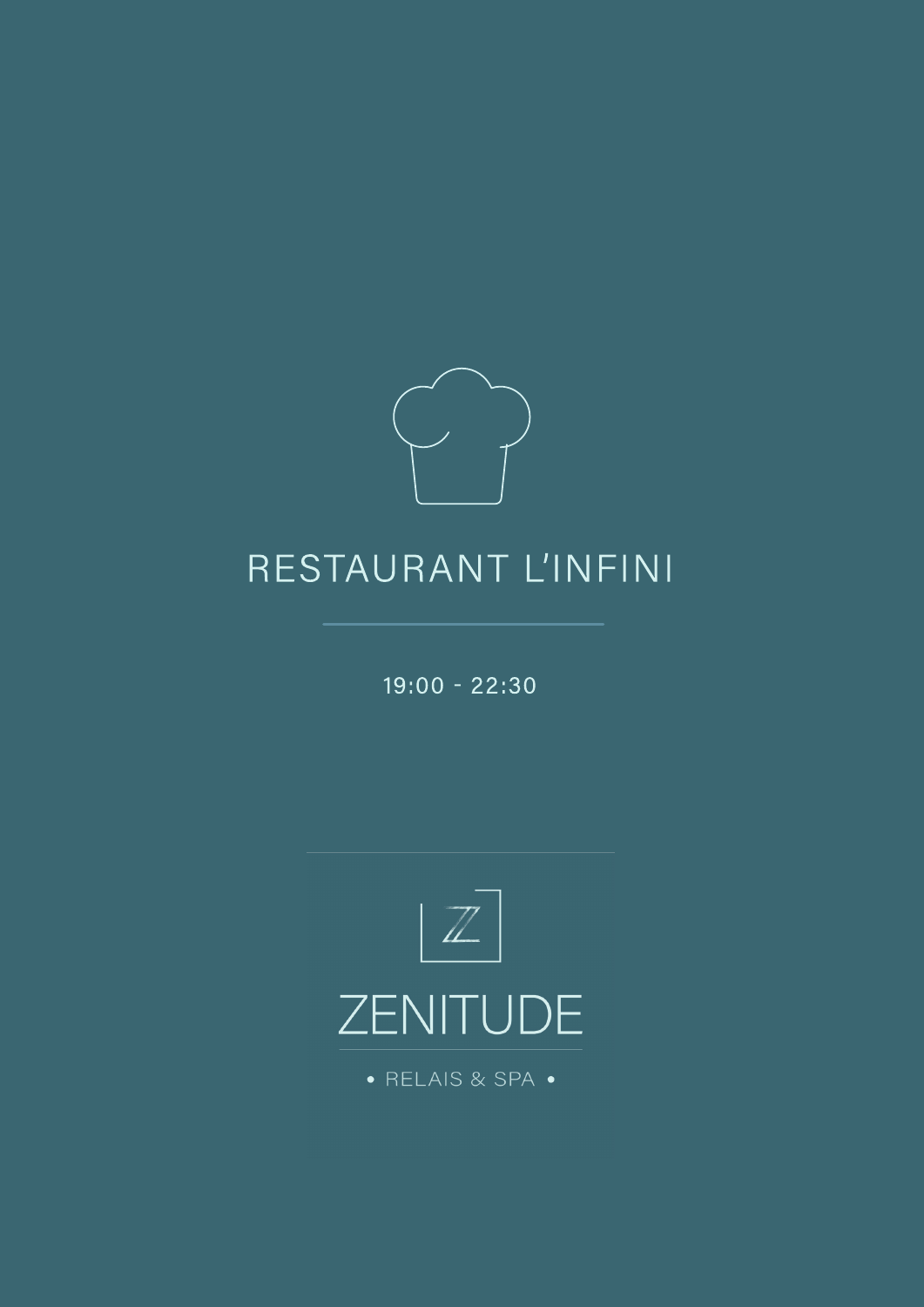

 $19:00 - 22:30$ 



· RELAIS & SPA ·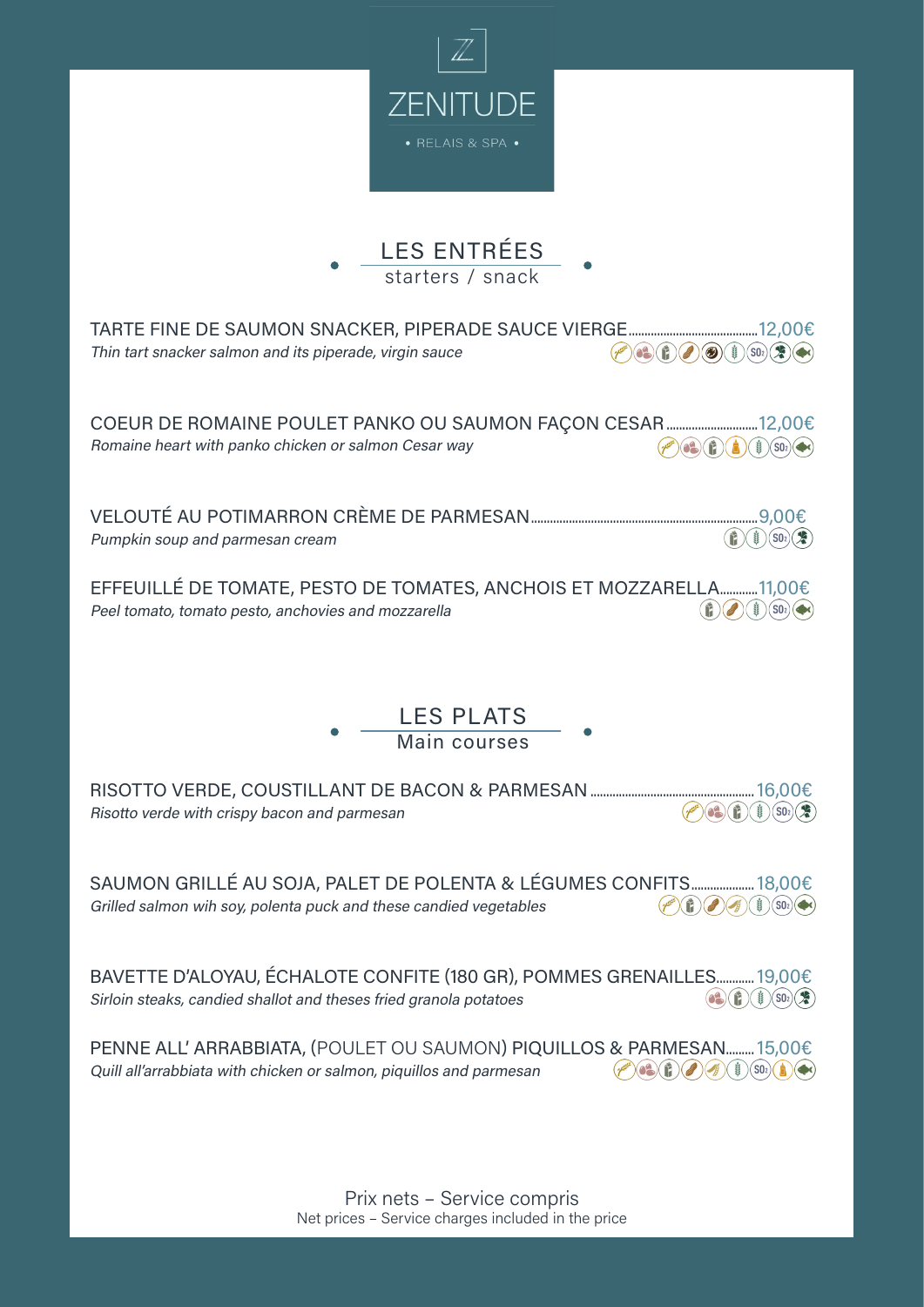



| Thin tart snacker salmon and its piperade, virgin sauce<br>3<br>63<br>$(\mathbf{r})$<br>$(50)$ $($ $\bullet$ $)$ $($ $\bullet$ $)$                                                                        |
|-----------------------------------------------------------------------------------------------------------------------------------------------------------------------------------------------------------|
| Romaine heart with panko chicken or salmon Cesar way<br>6<br>SO <sub>2</sub><br>Î                                                                                                                         |
| $rac{1}{2}$<br>$(s_0)$<br>$\left( \frac{1}{2} \right)$<br>Pumpkin soup and parmesan cream                                                                                                                 |
| EFFEUILLÉ DE TOMATE, PESTO DE TOMATES, ANCHOIS ET MOZZARELLA11,00€<br>$(S02)$ ( $\blacktriangleright$ c)<br>Peel tomato, tomato pesto, anchovies and mozzarella<br>tis                                    |
|                                                                                                                                                                                                           |
| <b>LES PLATS</b><br>Main courses                                                                                                                                                                          |
|                                                                                                                                                                                                           |
| $(S0_2)$<br>Risotto verde with crispy bacon and parmesan<br>Ŷ.                                                                                                                                            |
| SAUMON GRILLÉ AU SOJA, PALET DE POLENTA & LÉGUMES CONFITS 18,00€<br>$\left( \mathbf{f}\right)$<br>$(S02)$ ( $\blacktriangleright$ c)<br>Grilled salmon wih soy, polenta puck and these candied vegetables |
| BAVETTE D'ALOYAU, ÉCHALOTE CONFITE (180 GR), POMMES GRENAILLES 19,00€<br>Sirloin steaks, candied shallot and theses fried granola potatoes<br>$(S0_2)(\mathcal{Z})$                                       |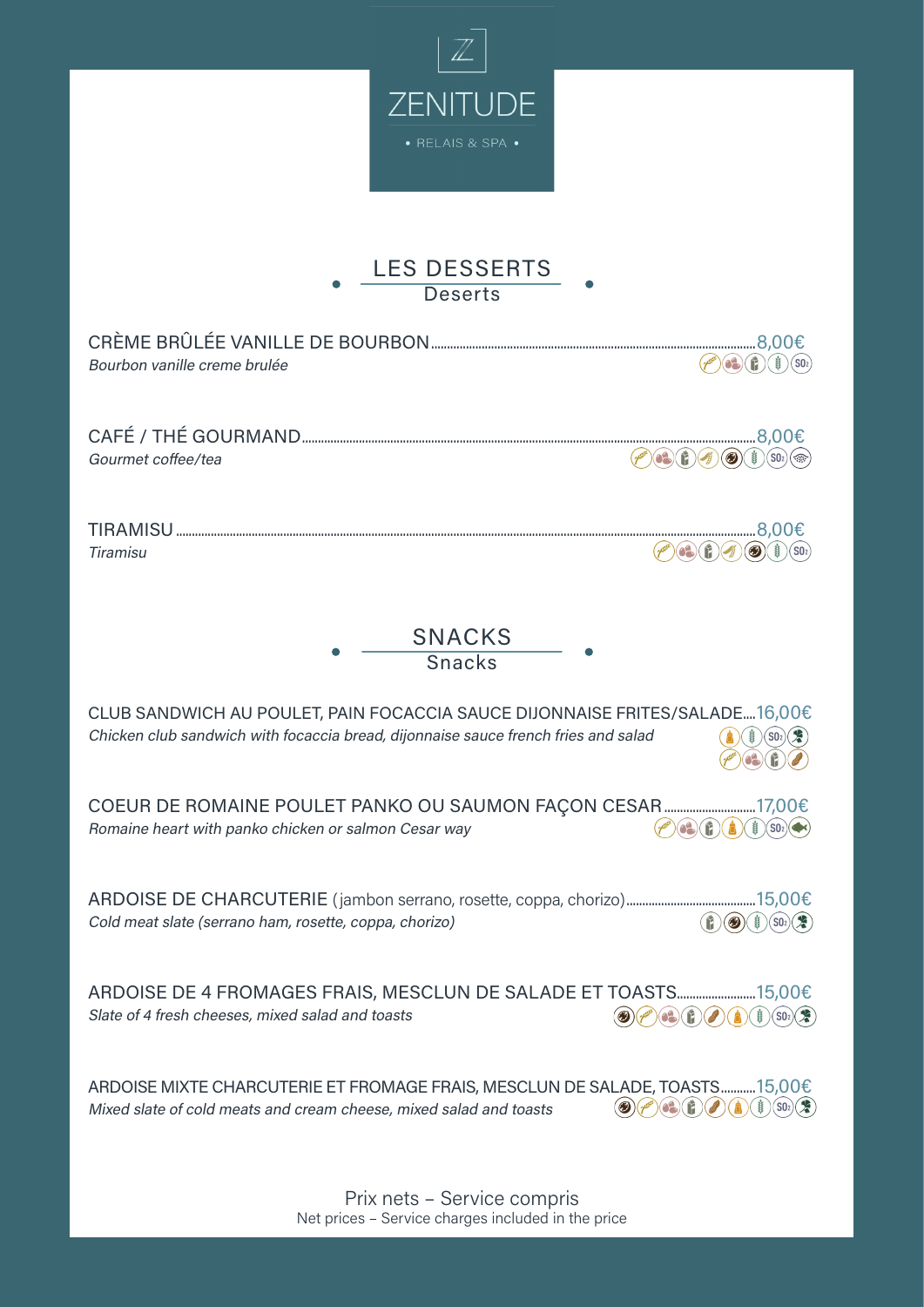

## LES DESSERTS **Deserts**

 $\bullet$ 

| Bourbon vanille creme brulée                                                                                                                                                                                                                                                                                                                                                                                                                                                                                                                                                                                                                                                                             |
|----------------------------------------------------------------------------------------------------------------------------------------------------------------------------------------------------------------------------------------------------------------------------------------------------------------------------------------------------------------------------------------------------------------------------------------------------------------------------------------------------------------------------------------------------------------------------------------------------------------------------------------------------------------------------------------------------------|
| Gourmet coffee/tea<br>  ଈ                                                                                                                                                                                                                                                                                                                                                                                                                                                                                                                                                                                                                                                                                |
| <b>Tiramisu</b><br>SO <sub>2</sub>                                                                                                                                                                                                                                                                                                                                                                                                                                                                                                                                                                                                                                                                       |
| <b>SNACKS</b><br><b>Snacks</b>                                                                                                                                                                                                                                                                                                                                                                                                                                                                                                                                                                                                                                                                           |
| CLUB SANDWICH AU POULET, PAIN FOCACCIA SAUCE DIJONNAISE FRITES/SALADE16,00€<br>Chicken club sandwich with focaccia bread, dijonnaise sauce french fries and salad                                                                                                                                                                                                                                                                                                                                                                                                                                                                                                                                        |
| Romaine heart with panko chicken or salmon Cesar way                                                                                                                                                                                                                                                                                                                                                                                                                                                                                                                                                                                                                                                     |
| Cold meat slate (serrano ham, rosette, coppa, chorizo)<br>$\left( \begin{smallmatrix} \textcolor{red}{\bullet} \ \textcolor{red}{\bullet} \ \textcolor{red}{\bullet} \end{smallmatrix} \right)$<br><b>COLOR</b>                                                                                                                                                                                                                                                                                                                                                                                                                                                                                          |
| $\textcircled{\tiny{\textcircled{\#}}}(\textcircled{\tiny{\textcircled{\#}}})\textcircled{\tiny{\textcircled{\#}}})\textcircled{\tiny{\textcircled{\#}}}\textcircled{\tiny{\textcircled{\#}}}\textcircled{\tiny{\textcircled{\#}}}\textcircled{\tiny{\textcircled{\#}}}\textcircled{\tiny{\textcircled{\#}}}\textcircled{\tiny{\textcircled{\#}}}\textcircled{\tiny{\textcircled{\#}}}\textcircled{\tiny{\textcircled{\#}}}\textcircled{\tiny{\textcircled{\#}}}\textcircled{\tiny{\textcircled{\#}}}\textcircled{\tiny{\textcircled{\#}}}\textcircled{\tiny{\textcircled{\#}}}\textcircled{\tiny{\textcircled{\#}}}\textcircled{\tiny{\textcircled$<br>Slate of 4 fresh cheeses, mixed salad and toasts |
| ARDOISE MIXTE CHARCUTERIE ET FROMAGE FRAIS, MESCLUN DE SALADE, TOASTS15,00€<br>$\bigcirc \bigcirc \bigcirc \bigcirc^{\mathscr{E}} \bigcirc \bigcirc \bigcirc \bigcirc \bigcirc$<br>SO <sub>2</sub><br>Mixed slate of cold meats and cream cheese, mixed salad and toasts                                                                                                                                                                                                                                                                                                                                                                                                                                 |